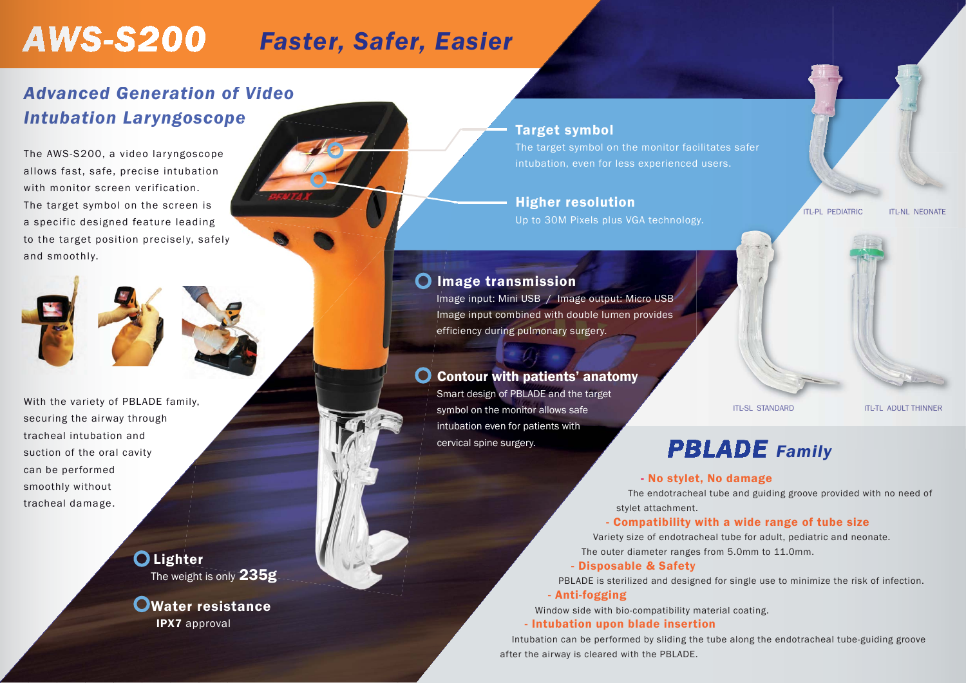## *PBLADE Family*

stylet attachment.

### - Compatibility with a wide range of tube size

### - Disposable & Safety

PBLADE is sterilized and designed for single use to minimize the risk of infection.

- No stylet, No damage -

- Anti-fogging

Window side with bio-compatibility material coating. - Intubation upon blade insertion

Intubation can be performed by sliding the tube along the endotracheal tube-guiding groove after the airway is cleared with the PBLADE.

Variety size of endotracheal tube for adult, pediatric and neonate. neonate. The outer diameter ranges from 5.0mm to 11.0mm. 11.0mm.

# **AWS-S200**

### *Advanced Generation of Video Intubation Laryngoscope e*

Faster, Safer, Easier<br>
Target symbol<br>
The corget symbol the corget symbol on the inducation, even for these<br>
Higher resolution the formed and the conduct Microsoft Paster is plus VGM<br>
Tange transmission<br>
Image transmission Smart design of PBLADE and the target symbol on the monitor allows safe intubation even for patients with cervical spine surgery.

The AWS-S200, a video laryngoscope allows fast, safe, precise intubation with monitor screen verification. The target symbol on the screen is a specific designed feature leading to the target position precisely, safely and smoothly.



### Target symbol

The target symbol on the monitor facilitates safer intubation, even for less experienced users.

### Higher resolution

Up to 30M Pixels plus VGA technology.

With the variety of PBLADE family, securing the airway through tracheal intubation andsuction of the oral cavity can be performed smoothly without tracheal damage.

> O Lighter The weight is only 235g



The endotracheal tube and guiding groove provided with no need of

### Image transmission

 Image input: Mini USB / Image output: Micro USB Image input combined with double lumen provides efficiency during pulmonary surgery.

### Contour with patients' anatomy

Water resistance IPX7 approval